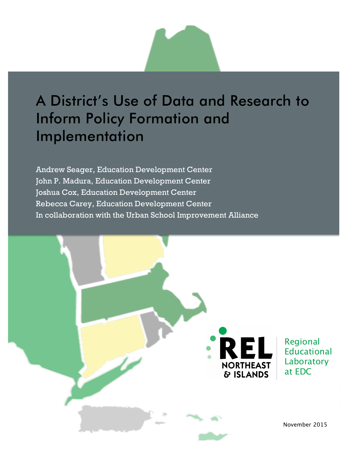# A District's Use of Data and Research to Inform Policy Formation and Implementation

 Joshua Cox, Education Development Center Rebecca Carey, Education Development Center In collaboration with the Urban School Improvement Alliance Andrew Seager, Education Development Center John P. Madura, Education Development Center

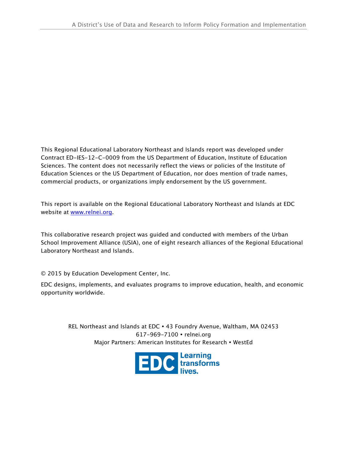This Regional Educational Laboratory Northeast and Islands report was developed under Contract ED-IES-12-C-0009 from the US Department of Education, Institute of Education Sciences. The content does not necessarily reflect the views or policies of the Institute of Education Sciences or the US Department of Education, nor does mention of trade names, commercial products, or organizations imply endorsement by the US government.

 This report is available on the Regional Educational Laboratory Northeast and Islands at EDC website at <u>www.relnei.org</u>.

 This collaborative research project was guided and conducted with members of the Urban School Improvement Alliance (USIA), one of eight research alliances of the Regional Educational Laboratory Northeast and Islands.

© 2015 by Education Development Center, Inc.

 EDC designs, implements, and evaluates programs to improve education, health, and economic opportunity worldwide.

> REL Northeast and Islands at EDC 43 Foundry Avenue, Waltham, MA 02453 617-969-7100 relnei.org Major Partners: American Institutes for Research • WestEd

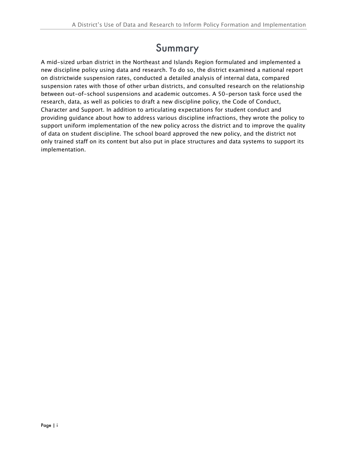### Summary

 A mid-sized urban district in the Northeast and Islands Region formulated and implemented a new discipline policy using data and research. To do so, the district examined a national report on districtwide suspension rates, conducted a detailed analysis of internal data, compared suspension rates with those of other urban districts, and consulted research on the relationship between out-of-school suspensions and academic outcomes. A 50-person task force used the research, data, as well as policies to draft a new discipline policy, the Code of Conduct, Character and Support. In addition to articulating expectations for student conduct and providing guidance about how to address various discipline infractions, they wrote the policy to support uniform implementation of the new policy across the district and to improve the quality of data on student discipline. The school board approved the new policy, and the district not only trained staff on its content but also put in place structures and data systems to support its implementation.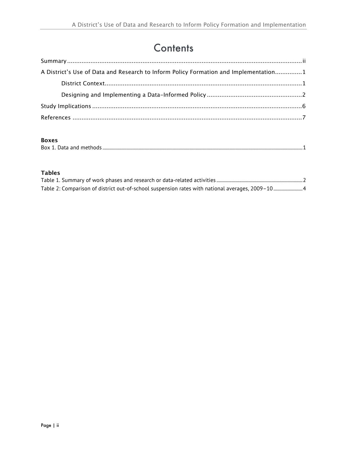### **Contents**

| A District's Use of Data and Research to Inform Policy Formation and Implementation1 |
|--------------------------------------------------------------------------------------|
|                                                                                      |
|                                                                                      |
|                                                                                      |
|                                                                                      |

#### **Boxes**

| ------ |  |
|--------|--|
|        |  |

### **Tables**

| Table 2: Comparison of district out-of-school suspension rates with national averages, 2009-104 |  |
|-------------------------------------------------------------------------------------------------|--|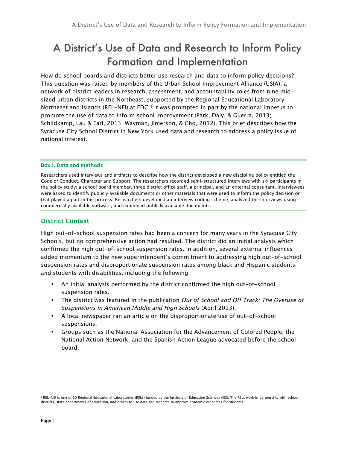### A District's Use of Data and Research to Inform Policy Formation and Implementation

 How do school boards and districts better use research and data to inform policy decisions? This question was raised by members of the Urban School Improvement Alliance (USIA), a network of district leaders in research, assessment, and accountability roles from nine mid- sized urban districts in the Northeast, supported by the Regional Educational Laboratory Northeast and Islands (REL-NEI) at EDC.<sup>1</sup> It was prompted in part by the national impetus to promote the use of data to inform school improvement (Park, Daly, & Guerra, 2013; Schildkamp, Lai, & Earl, 2013; Wayman, Jimerson, & Cho, 2012). This brief describes how the Syracuse City School District in New York used data and research to address a policy issue of national interest.

#### Box 1. Data and methods

 Researchers used interviews and artifacts to describe how the district developed a new discipline policy entitled the Code of Conduct, Character and Support. The researchers recorded semi-structured interviews with six participants in the policy study: a school board member, three district office staff, a principal, and an external consultant. Interviewees were asked to identify publicly available documents or other materials that were used to inform the policy decision or that played a part in the process. Researchers developed an interview coding scheme, analyzed the interviews using commercially available software, and examined publicly available documents.

#### **District Context**

 High out-of-school suspension rates had been a concern for many years in the Syracuse City Schools, but no comprehensive action had resulted. The district did an initial analysis which confirmed the high out-of-school suspension rates. In addition, several external influences added momentum to the new superintendent's commitment to addressing high out-of-school suspension rates and disproportionate suspension rates among black and Hispanic students and students with disabilities, including the following:

- • An initial analysis performed by the district confirmed the high out-of-school suspension rates.
- The district was featured in the publication *Out of School and Off Track: The Overuse of* Suspensions in American Middle and High Schools (April 2013).
- • A local newspaper ran an article on the disproportionate use of out-of-school suspensions.
- • Groups such as the National Association for the Advancement of Colored People, the National Action Network, and the Spanish Action League advocated before the school board.

i,

<sup>&</sup>lt;sup>1</sup> REL-NEI is one of 10 Regional Educational Laboratories (RELs) funded by the Institute of Education Sciences (IES). The RELs work in partnership with school districts, state departments of education, and others to use data and research to improve academic outcomes for students.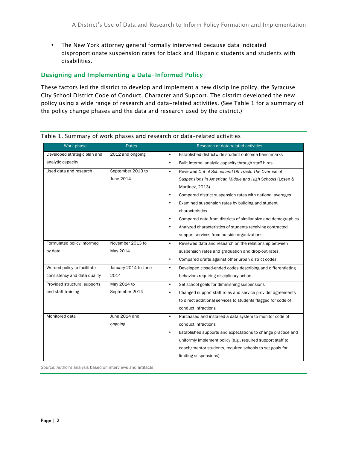disproportionate suspension rates for black and Hispanic students and students with disabilities. • The New York attorney general formally intervened because data indicated

#### **Designing and Implementing a Data-Informed Policy**

 These factors led the district to develop and implement a new discipline policy, the Syracuse City School District Code of Conduct, Character and Support. The district developed the new policy using a wide range of research and data-related activities. (See Table 1 for a summary of the policy change phases and the data and research used by the district.)

| Work phase                   | <b>Dates</b>         | Research or data related activities                                      |
|------------------------------|----------------------|--------------------------------------------------------------------------|
| Developed strategic plan and | 2012 and ongoing     | Established districtwide student outcome benchmarks<br>٠                 |
| analytic capacity            |                      | Built internal analytic capacity through staff hires<br>$\bullet$        |
| Used data and research       | September 2013 to    | Reviewed Out of School and Off Track: The Overuse of<br>$\bullet$        |
|                              | June 2014            | Suspensions in American Middle and High Schools (Losen &                 |
|                              |                      | Martinez, 2013)                                                          |
|                              |                      | Compared district suspension rates with national averages                |
|                              |                      | Examined suspension rates by building and student                        |
|                              |                      | characteristics                                                          |
|                              |                      | Compared data from districts of similar size and demographics            |
|                              |                      | Analyzed characteristics of students receiving contracted                |
|                              |                      | support services from outside organizations                              |
| Formulated policy informed   | November 2013 to     | $\bullet$<br>Reviewed data and research on the relationship between      |
| by data                      | May 2014             | suspension rates and graduation and drop-out rates.                      |
|                              |                      | Compared drafts against other urban district codes<br>$\bullet$          |
| Worded policy to facilitate  | January 2014 to June | Developed closed-ended codes describing and differentiating<br>$\bullet$ |
| consistency and data quality | 2014                 | behaviors requiring disciplinary action                                  |
| Provided structural supports | May 2014 to          | Set school goals for diminishing suspensions<br>$\bullet$                |
| and staff training           | September 2014       | Changed support staff roles and service provider agreements<br>٠         |
|                              |                      | to direct additional services to students flagged for code of            |
|                              |                      | conduct infractions                                                      |
| Monitored data               | June 2014 and        | Purchased and installed a data system to monitor code of<br>$\bullet$    |
|                              | ongoing              | conduct infractions                                                      |
|                              |                      | Established supports and expectations to change practice and             |
|                              |                      | uniformly implement policy (e.g., required support staff to              |
|                              |                      | coach/mentor students, required schools to set goals for                 |
|                              |                      | limiting suspensions)                                                    |

#### Table 1. Summary of work phases and research or data-related activities

Source: Author's analysis based on interviews and artifacts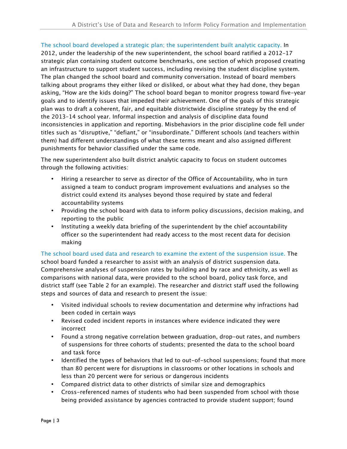The school board developed a strategic plan; the superintendent built analytic capacity. In 2012, under the leadership of the new superintendent, the school board ratified a 2012–17 strategic plan containing student outcome benchmarks, one section of which proposed creating an infrastructure to support student success, including revising the student discipline system. The plan changed the school board and community conversation. Instead of board members talking about programs they either liked or disliked, or about what they had done, they began asking, "How are the kids doing?" The school board began to monitor progress toward five-year goals and to identify issues that impeded their achievement. One of the goals of this strategic plan was to draft a coherent, fair, and equitable districtwide discipline strategy by the end of the 2013–14 school year. Informal inspection and analysis of discipline data found inconsistencies in application and reporting. Misbehaviors in the prior discipline code fell under titles such as "disruptive," "defiant," or "insubordinate." Different schools (and teachers within them) had different understandings of what these terms meant and also assigned different punishments for behavior classified under the same code.

 The new superintendent also built district analytic capacity to focus on student outcomes through the following activities:

- • Hiring a researcher to serve as director of the Office of Accountability, who in turn assigned a team to conduct program improvement evaluations and analyses so the district could extend its analyses beyond those required by state and federal accountability systems
- • Providing the school board with data to inform policy discussions, decision making, and reporting to the public
- • Instituting a weekly data briefing of the superintendent by the chief accountability officer so the superintendent had ready access to the most recent data for decision making

 The school board used data and research to examine the extent of the suspension issue. The school board funded a researcher to assist with an analysis of district suspension data. Comprehensive analyses of suspension rates by building and by race and ethnicity, as well as comparisons with national data, were provided to the school board, policy task force, and district staff (see Table 2 for an example). The researcher and district staff used the following steps and sources of data and research to present the issue:

- • Visited individual schools to review documentation and determine why infractions had been coded in certain ways
- Revised coded incident reports in instances where evidence indicated they were incorrect
- • Found a strong negative correlation between graduation, drop-out rates, and numbers of suspensions for three cohorts of students; presented the data to the school board and task force
- Identified the types of behaviors that led to out-of-school suspensions; found that more than 80 percent were for disruptions in classrooms or other locations in schools and less than 20 percent were for serious or dangerous incidents
- Compared district data to other districts of similar size and demographics
- • Cross-referenced names of students who had been suspended from school with those being provided assistance by agencies contracted to provide student support; found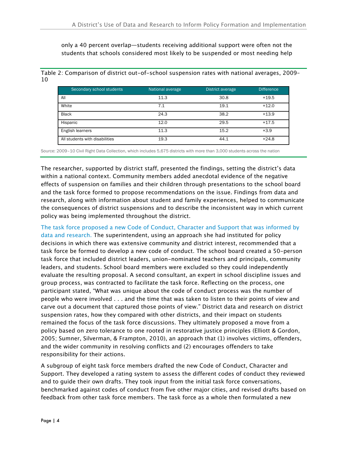only a 40 percent overlap—students receiving additional support were often not the students that schools considered most likely to be suspended or most needing help

 Table 2: Comparison of district out-of-school suspension rates with national averages, 2009– 10

| Secondary school students      | National average | District average | <b>Difference</b> |
|--------------------------------|------------------|------------------|-------------------|
| All                            | 11.3             | 30.8             | $+19.5$           |
| White                          | 7.1              | 19.1             | $+12.0$           |
| <b>Black</b>                   | 24.3             | 38.2             | $+13.9$           |
| Hispanic                       | 12.0             | 29.5             | $+17.5$           |
| English learners               | 11.3             | 15.2             | $+3.9$            |
| All students with disabilities | 19.3             | 44.1             | $+24.8$           |

Source: 2009–10 Civil Right Data Collection, which includes 5,675 districts with more than 3,000 students across the nation

 The researcher, supported by district staff, presented the findings, setting the district's data within a national context. Community members added anecdotal evidence of the negative effects of suspension on families and their children through presentations to the school board and the task force formed to propose recommendations on the issue. Findings from data and research, along with information about student and family experiences, helped to communicate the consequences of district suspensions and to describe the inconsistent way in which current policy was being implemented throughout the district.

 The task force proposed a new Code of Conduct, Character and Support that was informed by data and research. The superintendent, using an approach she had instituted for policy decisions in which there was extensive community and district interest, recommended that a task force be formed to develop a new code of conduct. The school board created a 50-person task force that included district leaders, union-nominated teachers and principals, community leaders, and students. School board members were excluded so they could independently evaluate the resulting proposal. A second consultant, an expert in school discipline issues and group process, was contracted to facilitate the task force. Reflecting on the process, one participant stated, "What was unique about the code of conduct process was the number of people who were involved . . . and the time that was taken to listen to their points of view and carve out a document that captured those points of view." District data and research on district suspension rates, how they compared with other districts, and their impact on students remained the focus of the task force discussions. They ultimately proposed a move from a policy based on zero tolerance to one rooted in restorative justice principles (Elliott & Gordon, 2005; Sumner, Silverman, & Frampton, 2010), an approach that (1) involves victims, offenders, and the wider community in resolving conflicts and (2) encourages offenders to take responsibility for their actions.

 A subgroup of eight task force members drafted the new Code of Conduct, Character and Support. They developed a rating system to assess the different codes of conduct they reviewed and to guide their own drafts. They took input from the initial task force conversations, benchmarked against codes of conduct from five other major cities, and revised drafts based on feedback from other task force members. The task force as a whole then formulated a new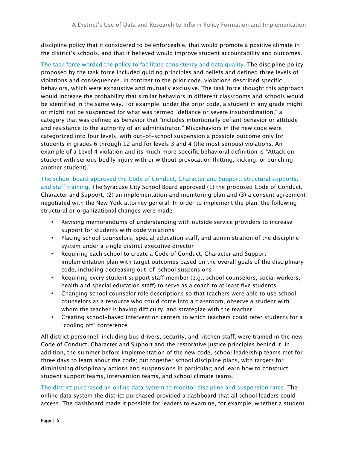discipline policy that it considered to be enforceable, that would promote a positive climate in the district's schools, and that it believed would improve student accountability and outcomes.

 The task force worded the policy to facilitate consistency and data quality. The discipline policy proposed by the task force included guiding principles and beliefs and defined three levels of violations and consequences. In contrast to the prior code, violations described specific behaviors, which were exhaustive and mutually exclusive. The task force thought this approach would increase the probability that similar behaviors in different classrooms and schools would be identified in the same way. For example, under the prior code, a student in any grade might or might not be suspended for what was termed "defiance or severe insubordination," a category that was defined as behavior that "includes intentionally defiant behavior or attitude and resistance to the authority of an administrator." Misbehaviors in the new code were categorized into four levels, with out-of-school suspension a possible outcome only for students in grades 6 through 12 and for levels 3 and 4 (the most serious) violations. An example of a Level 4 violation and its much more specific behavioral definition is "Attack on student with serious bodily injury with or without provocation (hitting, kicking, or punching another student)."

 The school board approved the Code of Conduct, Character and Support, structural supports, and staff training. The Syracuse City School Board approved (1) the proposed Code of Conduct, Character and Support, (2) an implementation and monitoring plan and (3) a consent agreement negotiated with the New York attorney general. In order to implement the plan, the following structural or organizational changes were made:

- • Revising memorandums of understanding with outside service providers to increase support for students with code violations
- • Placing school counselors, special education staff, and administration of the discipline system under a single district executive director
- • Requiring each school to create a Code of Conduct, Character and Support implementation plan with target outcomes based on the overall goals of the disciplinary code, including decreasing out-of-school suspensions
- • Requiring every student support staff member (e.g., school counselors, social workers, health and special education staff) to serve as a coach to at least five students
- • Changing school counselor role descriptions so that teachers were able to use school counselors as a resource who could come into a classroom, observe a student with whom the teacher is having difficulty, and strategize with the teacher
- • Creating school-based intervention centers to which teachers could refer students for a "cooling off" conference

 "cooling off" conference All district personnel, including bus drivers, security, and kitchen staff, were trained in the new Code of Conduct, Character and Support and the restorative justice principles behind it. In addition, the summer before implementation of the new code, school leadership teams met for three days to learn about the code; put together school discipline plans, with targets for diminishing disciplinary actions and suspensions in particular; and learn how to construct student support teams, intervention teams, and school climate teams.

 The district purchased an online data system to monitor discipline and suspension rates. The online data system the district purchased provided a dashboard that all school leaders could access. The dashboard made it possible for leaders to examine, for example, whether a student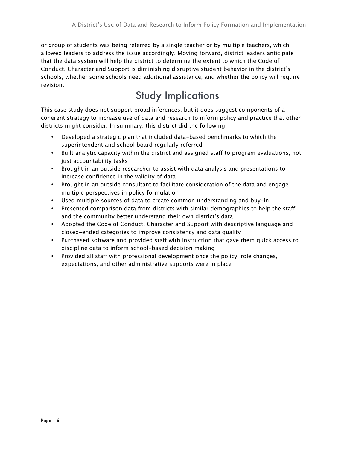or group of students was being referred by a single teacher or by multiple teachers, which allowed leaders to address the issue accordingly. Moving forward, district leaders anticipate that the data system will help the district to determine the extent to which the Code of Conduct, Character and Support is diminishing disruptive student behavior in the district's schools, whether some schools need additional assistance, and whether the policy will require revision.

## Study Implications

 This case study does not support broad inferences, but it does suggest components of a coherent strategy to increase use of data and research to inform policy and practice that other districts might consider. In summary, this district did the following:

- • Developed a strategic plan that included data-based benchmarks to which the superintendent and school board regularly referred
- • Built analytic capacity within the district and assigned staff to program evaluations, not just accountability tasks
- • Brought in an outside researcher to assist with data analysis and presentations to increase confidence in the validity of data
- • Brought in an outside consultant to facilitate consideration of the data and engage multiple perspectives in policy formulation
- Used multiple sources of data to create common understanding and buy-in
- • Presented comparison data from districts with similar demographics to help the staff and the community better understand their own district's data
- • Adopted the Code of Conduct, Character and Support with descriptive language and closed-ended categories to improve consistency and data quality
- • Purchased software and provided staff with instruction that gave them quick access to discipline data to inform school-based decision making
- • Provided all staff with professional development once the policy, role changes, expectations, and other administrative supports were in place